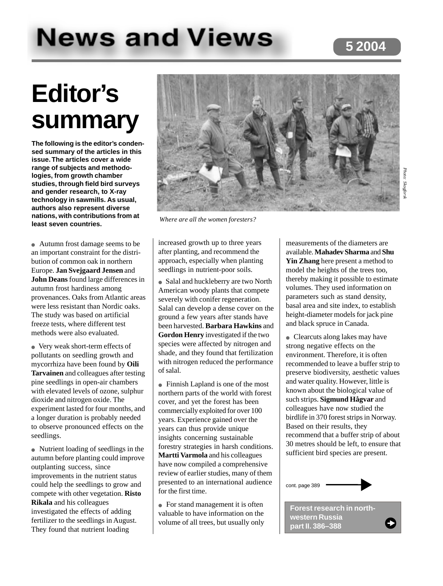# **News and Views**

## **5 2004**

# **Editor's summary**

**The following is the editor's condensed summary of the articles in this issue. The articles cover a wide range of subjects and methodologies, from growth chamber studies, through field bird surveys and gender research, to X-ray technology in sawmills. As usual, authors also represent diverse nations, with contributions from at least seven countries.** *Where are all the women foresters?*

● Autumn frost damage seems to be an important constraint for the distribution of common oak in northern Europe. **Jan Svejgaard Jensen** and **John Deans** found large differences in autumn frost hardiness among provenances. Oaks from Atlantic areas were less resistant than Nordic oaks. The study was based on artificial freeze tests, where different test methods were also evaluated.

● Very weak short-term effects of pollutants on seedling growth and mycorrhiza have been found by **Oili Tarvainen** and colleagues after testing pine seedlings in open-air chambers with elevated levels of ozone, sulphur dioxide and nitrogen oxide. The experiment lasted for four months, and a longer duration is probably needed to observe pronounced effects on the seedlings.

• Nutrient loading of seedlings in the autumn before planting could improve outplanting success, since improvements in the nutrient status could help the seedlings to grow and compete with other vegetation. **Risto Rikala** and his colleagues investigated the effects of adding fertilizer to the seedlings in August. They found that nutrient loading



increased growth up to three years after planting, and recommend the approach, especially when planting seedlings in nutrient-poor soils.

● Salal and huckleberry are two North American woody plants that compete severely with conifer regeneration. Salal can develop a dense cover on the ground a few years after stands have been harvested. **Barbara Hawkins** and **Gordon Henry** investigated if the two species were affected by nitrogen and shade, and they found that fertilization with nitrogen reduced the performance of salal.

• Finnish Lapland is one of the most northern parts of the world with forest cover, and yet the forest has been commercially exploited for over 100 years. Experience gained over the years can thus provide unique insights concerning sustainable forestry strategies in harsh conditions. **Martti Varmola** and his colleagues have now compiled a comprehensive review of earlier studies, many of them presented to an international audience for the first time.

• For stand management it is often valuable to have information on the volume of all trees, but usually only measurements of the diameters are available. **Mahadev Sharma** and **Shu Yin Zhang** here present a method to model the heights of the trees too, thereby making it possible to estimate volumes. They used information on parameters such as stand density, basal area and site index, to establish height-diameter models for jack pine and black spruce in Canada.

● Clearcuts along lakes may have strong negative effects on the environment. Therefore, it is often recommended to leave a buffer strip to preserve biodiversity, aesthetic values and water quality. However, little is known about the biological value of such strips. **Sigmund Hågvar** and colleagues have now studied the birdlife in 370 forest strips in Norway. Based on their results, they recommend that a buffer strip of about 30 metres should be left, to ensure that sufficient bird species are present.

cont. page 389

**Forest research in northwestern Russia part II. 386–388**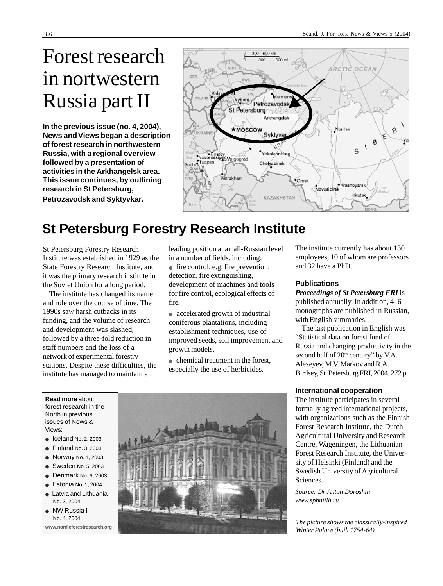## Forest research in nortwestern Russia part II

**In the previous issue (no. 4, 2004), News and Views began a description of forest research in northwestern Russia, with a regional overview followed by a presentation of activities in the Arkhangelsk area. This issue continues, by outlining research in St Petersburg, Petrozavodsk and Syktyvkar.**



## **St Petersburg Forestry Research Institute**

St Petersburg Forestry Research Institute was established in 1929 as the State Forestry Research Institute, and it was the primary research institute in the Soviet Union for a long period.

The institute has changed its name and role over the course of time. The 1990s saw harsh cutbacks in its funding, and the volume of research and development was slashed, followed by a three-fold reduction in staff numbers and the loss of a network of experimental forestry stations. Despite these difficulties, the institute has managed to maintain a

leading position at an all-Russian level in a number of fields, including: ● fire control, e.g. fire prevention, detection, fire extinguishing, development of machines and tools for fire control, ecological effects of fire.

• accelerated growth of industrial coniferous plantations, including establishment techniques, use of improved seeds, soil improvement and growth models.

• chemical treatment in the forest, especially the use of herbicides.

The institute currently has about 130 employees, 10 of whom are professors and 32 have a PhD.

#### **Publications**

*Proceedings of St Petersburg FRI* is published annually. In addition, 4–6 monographs are published in Russian, with English summaries.

The last publication in English was "Statistical data on forest fund of Russia and changing productivity in the second half of 20<sup>th</sup> century" by V.A. Alexeyev, M.V. Markov and R.A. Birdsey, St. Petersburg FRI, 2004. 272 p.

#### **International cooperation**

The institute participates in several formally agreed international projects, with organizations such as the Finnish Forest Research Institute, the Dutch Agricultural University and Research Centre, Wageningen, the Lithuanian Forest Research Institute, the University of Helsinki (Finland) and the Swedish University of Agricultural Sciences.

*Source: Dr Anton Doroshin www.spbniilh.ru*

*The picture shows the classically-inspired Winter Palace (built 1754-64)*

**Read more** about forest research in the North in previous issues of News & Views:

- $\bullet$  Iceland No. 2, 2003
- Finland No. 3, 2003
- Norway No. 4, 2003
- Sweden No. 5, 2003
- Denmark No. 6, 2003
- Estonia No. 1, 2004
- Latvia and Lithuania No. 3, 2004
- NW Russia I No. 4, 2004

**www.nordicforestresearch.org**

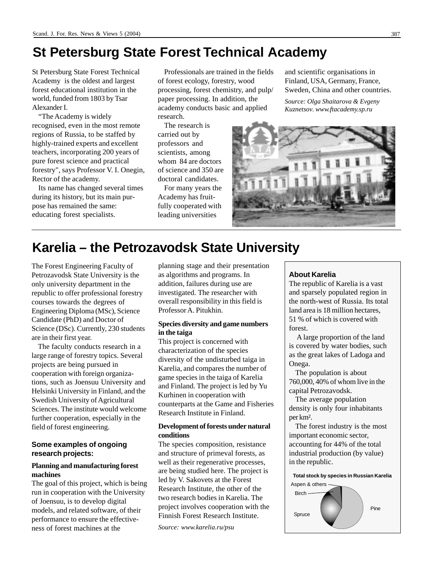### **St Petersburg State Forest Technical Academy**

St Petersburg State Forest Technical Academy is the oldest and largest forest educational institution in the world, funded from 1803 by Tsar Alexander I.

"The Academy is widely recognised, even in the most remote regions of Russia, to be staffed by highly-trained experts and excellent teachers, incorporating 200 years of pure forest science and practical forestry", says Professor V. I. Onegin, Rector of the academy.

Its name has changed several times during its history, but its main purpose has remained the same: educating forest specialists.

Professionals are trained in the fields of forest ecology, forestry, wood processing, forest chemistry, and pulp/ paper processing. In addition, the academy conducts basic and applied research.

The research is carried out by professors and scientists, among whom 84 are doctors of science and 350 are doctoral candidates.

For many years the Academy has fruitfully cooperated with leading universities

and scientific organisations in Finland, USA, Germany, France, Sweden, China and other countries.

*Source: Olga Shaitarova & Evgeny Kuznetsov. www.ftacademy.sp.ru*



### **Karelia – the Petrozavodsk State University**

The Forest Engineering Faculty of Petrozavodsk State University is the only university department in the republic to offer professional forestry courses towards the degrees of Engineering Diploma (MSc), Science Candidate (PhD) and Doctor of Science (DSc). Currently, 230 students are in their first year.

The faculty conducts research in a large range of forestry topics. Several projects are being pursued in cooperation with foreign organizations, such as Joensuu University and Helsinki University in Finland, and the Swedish University of Agricultural Sciences. The institute would welcome further cooperation, especially in the field of forest engineering.

#### **Some examples of ongoing research projects:**

#### **Planning and manufacturing forest machines**

The goal of this project, which is being run in cooperation with the University of Joensuu, is to develop digital models, and related software, of their performance to ensure the effectiveness of forest machines at the

planning stage and their presentation as algorithms and programs. In addition, failures during use are investigated. The researcher with overall responsibility in this field is Professor A. Pitukhin.

#### **Species diversity and game numbers in the taiga**

This project is concerned with characterization of the species diversity of the undisturbed taiga in Karelia, and compares the number of game species in the taiga of Karelia and Finland. The project is led by Yu Kurhinen in cooperation with counterparts at the Game and Fisheries Research Institute in Finland.

#### **Development of forests under natural conditions**

The species composition, resistance and structure of primeval forests, as well as their regenerative processes, are being studied here. The project is led by V. Sakovets at the Forest Research Institute, the other of the two research bodies in Karelia. The project involves cooperation with the Finnish Forest Research Institute.

*Source: www.karelia.ru/psu*

#### **About Karelia**

The republic of Karelia is a vast and sparsely populated region in the north-west of Russia. Its total land area is 18 million hectares, 51 % of which is covered with forest.

 A large proportion of the land is covered by water bodies, such as the great lakes of Ladoga and Onega.

The population is about 760,000, 40% of whom live in the capital Petrozavodsk.

The average population density is only four inhabitants per km².

The forest industry is the most important economic sector, accounting for 44% of the total industrial production (by value) in the republic.

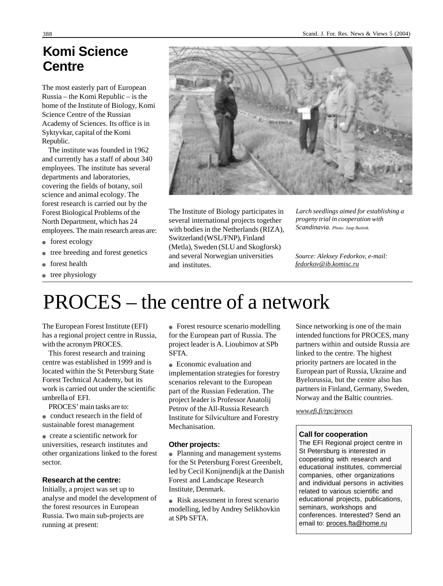## **Komi Science Centre**

The most easterly part of European Russia – the Komi Republic – is the home of the Institute of Biology, Komi Science Centre of the Russian Academy of Sciences. Its office is in Syktyvkar, capital of the Komi Republic.

The institute was founded in 1962 and currently has a staff of about 340 employees. The institute has several departments and laboratories, covering the fields of botany, soil science and animal ecology. The forest research is carried out by the Forest Biological Problems of the North Department, which has 24 employees. The main research areas are:

- forest ecology
- tree breeding and forest genetics
- forest health
- tree physiology



The Institute of Biology participates in several international projects together with bodies in the Netherlands (RIZA), Switzerland (WSL/FNP), Finland (Metla), Sweden (SLU and Skogforsk) and several Norwegian universities and institutes.

*Larch seedlings aimed for establishing a progeny trial in cooperation with Scandinavia. Photo: Jaap Buitink.*

*Source: Aleksey Fedorkov, e-mail: fedorkov@ib.komisc.ru*

## PROCES – the centre of a network

The European Forest Institute (EFI) has a regional project centre in Russia, with the acronym PROCES.

This forest research and training centre was established in 1999 and is located within the St Petersburg State Forest Technical Academy, but its work is carried out under the scientific umbrella of EFI.

PROCES' main tasks are to: • conduct research in the field of sustainable forest management

● create a scientific network for universities, research institutes and other organizations linked to the forest sector.

#### **Research at the centre:**

Initially, a project was set up to analyse and model the development of the forest resources in European Russia. Two main sub-projects are running at present:

● Forest resource scenario modelling for the European part of Russia. The project leader is A. Lioubimov at SPb SFTA.

● Economic evaluation and implementation strategies for forestry scenarios relevant to the European part of the Russian Federation. The project leader is Professor Anatolij Petrov of the All-Russia Research Institute for Silviculture and Forestry Mechanisation.

#### **Other projects:**

● Planning and management systems for the St Petersburg Forest Greenbelt, led by Cecil Konijnendijk at the Danish Forest and Landscape Research Institute, Denmark.

• Risk assessment in forest scenario modelling, led by Andrey Selikhovkin at SPb SFTA.

Since networking is one of the main intended functions for PROCES, many partners within and outside Russia are linked to the centre. The highest priority partners are located in the European part of Russia, Ukraine and Byelorussia, but the centre also has partners in Finland, Germany, Sweden, Norway and the Baltic countries.

*www.efi.fi/rpc/proces*

#### **Call for cooperation**

The EFI Regional project centre in St Petersburg is interested in cooperating with research and educational institutes, commercial companies, other organizations and individual persons in activities related to various scientific and educational projects, publications, seminars, workshops and conferences. Interested? Send an email to: proces.fta@home.ru